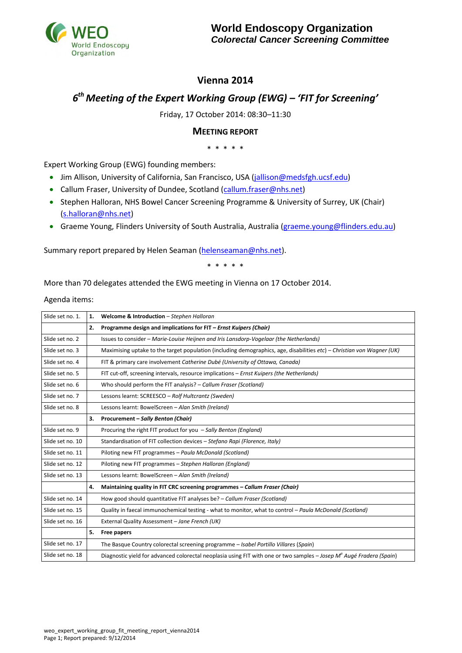

# **Vienna 2014**

# *6 th Meeting of the Expert Working Group (EWG) – 'FIT for Screening'*

Friday, 17 October 2014: 08:30–11:30

# **MEETING REPORT**

\* \* \* \* \*

Expert Working Group (EWG) founding members:

- Jim Allison, University of California, San Francisco, USA [\(jallison@medsfgh.ucsf.edu\)](mailto:jallison@medsfgh.ucsf.edu)
- Callum Fraser, University of Dundee, Scotland [\(callum.fraser@nhs.net\)](mailto:callum.fraser@nhs.net)
- Stephen Halloran, NHS Bowel Cancer Screening Programme & University of Surrey, UK (Chair) [\(s.halloran@nhs.net\)](mailto:s.halloran@nhs.net)
- Graeme Young, Flinders University of South Australia, Australia [\(graeme.young@flinders.edu.au\)](mailto:graeme.young@flinders.edu.au)

Summary report prepared by Helen Seaman [\(helenseaman@nhs.net\)](mailto:helenseaman@nhs.net).

\* \* \* \* \*

More than 70 delegates attended the EWG meeting in Vienna on 17 October 2014.

Agenda items:

| Slide set no. 1. | 1. | Welcome & Introduction - Stephen Halloran                                                                                        |
|------------------|----|----------------------------------------------------------------------------------------------------------------------------------|
|                  | 2. | Programme design and implications for FIT - Ernst Kuipers (Chair)                                                                |
| Slide set no. 2  |    | Issues to consider - Marie-Louise Heijnen and Iris Lansdorp-Vogelaar (the Netherlands)                                           |
| Slide set no. 3  |    | Maximising uptake to the target population (including demographics, age, disabilities etc) – Christian von Wagner (UK)           |
| Slide set no. 4  |    | FIT & primary care involvement Catherine Dubé (University of Ottawa, Canada)                                                     |
| Slide set no. 5  |    | FIT cut-off, screening intervals, resource implications - Ernst Kuipers (the Netherlands)                                        |
| Slide set no. 6  |    | Who should perform the FIT analysis? - Callum Fraser (Scotland)                                                                  |
| Slide set no. 7  |    | Lessons learnt: SCREESCO - Rolf Hultcrantz (Sweden)                                                                              |
| Slide set no. 8  |    | Lessons learnt: BowelScreen - Alan Smith (Ireland)                                                                               |
|                  | 3. | Procurement - Sally Benton (Chair)                                                                                               |
| Slide set no. 9  |    | Procuring the right FIT product for you - Sally Benton (England)                                                                 |
| Slide set no. 10 |    | Standardisation of FIT collection devices - Stefano Rapi (Florence, Italy)                                                       |
| Slide set no. 11 |    | Piloting new FIT programmes - Paula McDonald (Scotland)                                                                          |
| Slide set no. 12 |    | Piloting new FIT programmes - Stephen Halloran (England)                                                                         |
| Slide set no. 13 |    | Lessons learnt: BowelScreen - Alan Smith (Ireland)                                                                               |
|                  | 4. | Maintaining quality in FIT CRC screening programmes - Callum Fraser (Chair)                                                      |
| Slide set no. 14 |    | How good should quantitative FIT analyses be? - Callum Fraser (Scotland)                                                         |
| Slide set no. 15 |    | Quality in faecal immunochemical testing - what to monitor, what to control - Paula McDonald (Scotland)                          |
| Slide set no. 16 |    | External Quality Assessment - Jane French (UK)                                                                                   |
|                  | 5. | Free papers                                                                                                                      |
| Slide set no. 17 |    | The Basque Country colorectal screening programme - Isabel Portillo Villares (Spain)                                             |
| Slide set no. 18 |    | Diagnostic yield for advanced colorectal neoplasia using FIT with one or two samples - Josep M <sup>°</sup> Augé Fradera (Spain) |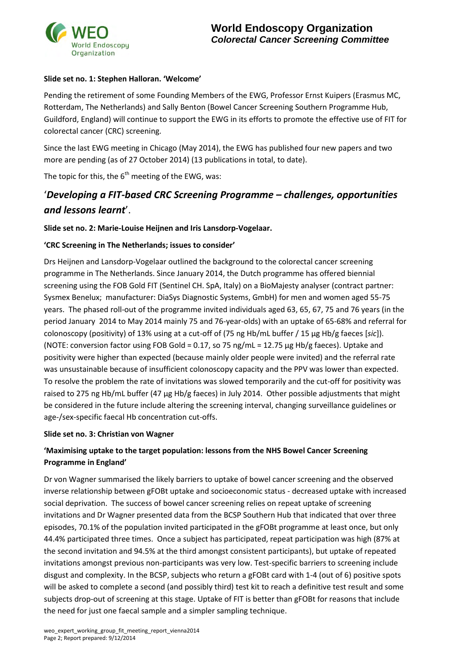

# **Slide set no. 1: Stephen Halloran. 'Welcome'**

Pending the retirement of some Founding Members of the EWG, Professor Ernst Kuipers (Erasmus MC, Rotterdam, The Netherlands) and Sally Benton (Bowel Cancer Screening Southern Programme Hub, Guildford, England) will continue to support the EWG in its efforts to promote the effective use of FIT for colorectal cancer (CRC) screening.

Since the last EWG meeting in Chicago (May 2014), the EWG has published four new papers and two more are pending (as of 27 October 2014) (13 publications in total, to date).

The topic for this, the  $6<sup>th</sup>$  meeting of the EWG, was:

# '*Developing a FIT-based CRC Screening Programme – challenges, opportunities and lessons learnt*'.

# **Slide set no. 2: Marie-Louise Heijnen and Iris Lansdorp-Vogelaar.**

# **'CRC Screening in The Netherlands; issues to consider'**

Drs Heijnen and Lansdorp-Vogelaar outlined the background to the colorectal cancer screening programme in The Netherlands. Since January 2014, the Dutch programme has offered biennial screening using the FOB Gold FIT (Sentinel CH. SpA, Italy) on a BioMajesty analyser (contract partner: Sysmex Benelux; manufacturer: DiaSys Diagnostic Systems, GmbH) for men and women aged 55-75 years. The phased roll-out of the programme invited individuals aged 63, 65, 67, 75 and 76 years (in the period January 2014 to May 2014 mainly 75 and 76-year-olds) with an uptake of 65-68% and referral for colonoscopy (positivity) of 13% using at a cut-off of (75 ng Hb/mL buffer / 15 µg Hb/g faeces [*sic*]). (NOTE: conversion factor using FOB Gold = 0.17, so 75 ng/mL = 12.75  $\mu$ g Hb/g faeces). Uptake and positivity were higher than expected (because mainly older people were invited) and the referral rate was unsustainable because of insufficient colonoscopy capacity and the PPV was lower than expected. To resolve the problem the rate of invitations was slowed temporarily and the cut-off for positivity was raised to 275 ng Hb/mL buffer (47 µg Hb/g faeces) in July 2014. Other possible adjustments that might be considered in the future include altering the screening interval, changing surveillance guidelines or age-/sex-specific faecal Hb concentration cut-offs.

#### **Slide set no. 3: Christian von Wagner**

# **'Maximising uptake to the target population: lessons from the NHS Bowel Cancer Screening Programme in England'**

Dr von Wagner summarised the likely barriers to uptake of bowel cancer screening and the observed inverse relationship between gFOBt uptake and socioeconomic status - decreased uptake with increased social deprivation. The success of bowel cancer screening relies on repeat uptake of screening invitations and Dr Wagner presented data from the BCSP Southern Hub that indicated that over three episodes, 70.1% of the population invited participated in the gFOBt programme at least once, but only 44.4% participated three times. Once a subject has participated, repeat participation was high (87% at the second invitation and 94.5% at the third amongst consistent participants), but uptake of repeated invitations amongst previous non-participants was very low. Test-specific barriers to screening include disgust and complexity. In the BCSP, subjects who return a gFOBt card with 1-4 (out of 6) positive spots will be asked to complete a second (and possibly third) test kit to reach a definitive test result and some subjects drop-out of screening at this stage. Uptake of FIT is better than gFOBt for reasons that include the need for just one faecal sample and a simpler sampling technique.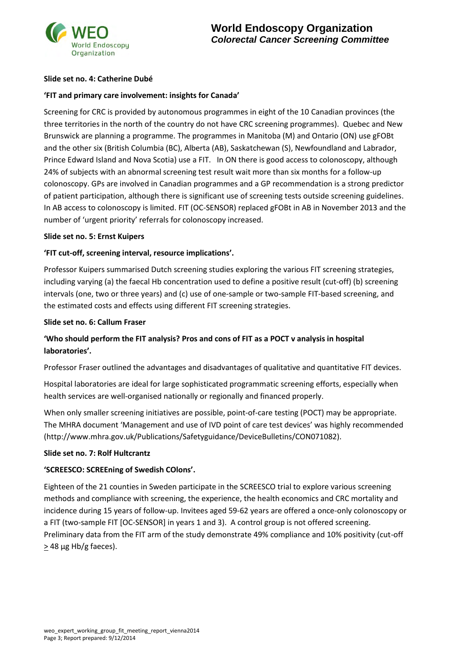

# **Slide set no. 4: Catherine Dubé**

# **'FIT and primary care involvement: insights for Canada'**

Screening for CRC is provided by autonomous programmes in eight of the 10 Canadian provinces (the three territories in the north of the country do not have CRC screening programmes). Quebec and New Brunswick are planning a programme. The programmes in Manitoba (M) and Ontario (ON) use gFOBt and the other six (British Columbia (BC), Alberta (AB), Saskatchewan (S), Newfoundland and Labrador, Prince Edward Island and Nova Scotia) use a FIT. In ON there is good access to colonoscopy, although 24% of subjects with an abnormal screening test result wait more than six months for a follow-up colonoscopy. GPs are involved in Canadian programmes and a GP recommendation is a strong predictor of patient participation, although there is significant use of screening tests outside screening guidelines. In AB access to colonoscopy is limited. FIT (OC-SENSOR) replaced gFOBt in AB in November 2013 and the number of 'urgent priority' referrals for colonoscopy increased.

#### **Slide set no. 5: Ernst Kuipers**

# **'FIT cut-off, screening interval, resource implications'.**

Professor Kuipers summarised Dutch screening studies exploring the various FIT screening strategies, including varying (a) the faecal Hb concentration used to define a positive result (cut-off) (b) screening intervals (one, two or three years) and (c) use of one-sample or two-sample FIT-based screening, and the estimated costs and effects using different FIT screening strategies.

#### **Slide set no. 6: Callum Fraser**

# **'Who should perform the FIT analysis? Pros and cons of FIT as a POCT v analysis in hospital laboratories'.**

Professor Fraser outlined the advantages and disadvantages of qualitative and quantitative FIT devices.

Hospital laboratories are ideal for large sophisticated programmatic screening efforts, especially when health services are well-organised nationally or regionally and financed properly.

When only smaller screening initiatives are possible, point-of-care testing (POCT) may be appropriate. The MHRA document 'Management and use of IVD point of care test devices' was highly recommended (http://www.mhra.gov.uk/Publications/Safetyguidance/DeviceBulletins/CON071082).

#### **Slide set no. 7: Rolf Hultcrantz**

#### **'SCREESCO: SCREEning of Swedish COlons'.**

Eighteen of the 21 counties in Sweden participate in the SCREESCO trial to explore various screening methods and compliance with screening, the experience, the health economics and CRC mortality and incidence during 15 years of follow-up. Invitees aged 59-62 years are offered a once-only colonoscopy or a FIT (two-sample FIT [OC-SENSOR] in years 1 and 3). A control group is not offered screening. Preliminary data from the FIT arm of the study demonstrate 49% compliance and 10% positivity (cut-off  $\geq$  48 µg Hb/g faeces).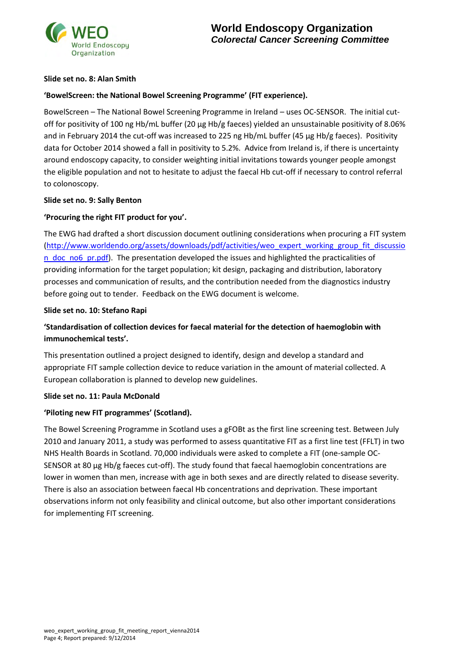

# **Slide set no. 8: Alan Smith**

# **'BowelScreen: the National Bowel Screening Programme' (FIT experience).**

BowelScreen – The National Bowel Screening Programme in Ireland – uses OC-SENSOR. The initial cutoff for positivity of 100 ng Hb/mL buffer (20 µg Hb/g faeces) yielded an unsustainable positivity of 8.06% and in February 2014 the cut-off was increased to 225 ng Hb/mL buffer (45 µg Hb/g faeces). Positivity data for October 2014 showed a fall in positivity to 5.2%. Advice from Ireland is, if there is uncertainty around endoscopy capacity, to consider weighting initial invitations towards younger people amongst the eligible population and not to hesitate to adjust the faecal Hb cut-off if necessary to control referral to colonoscopy.

#### **Slide set no. 9: Sally Benton**

# **'Procuring the right FIT product for you'.**

The EWG had drafted a short discussion document outlining considerations when procuring a FIT system [\(http://www.worldendo.org/assets/downloads/pdf/activities/weo\\_expert\\_working\\_group\\_fit\\_discussio](http://www.worldendo.org/assets/downloads/pdf/activities/weo_expert_working_group_fit_discussion_doc_no6_pr.pdf) n doc no6 pr.pdf). The presentation developed the issues and highlighted the practicalities of providing information for the target population; kit design, packaging and distribution, laboratory processes and communication of results, and the contribution needed from the diagnostics industry before going out to tender. Feedback on the EWG document is welcome.

#### **Slide set no. 10: Stefano Rapi**

# **'Standardisation of collection devices for faecal material for the detection of haemoglobin with immunochemical tests'.**

This presentation outlined a project designed to identify, design and develop a standard and appropriate FIT sample collection device to reduce variation in the amount of material collected. A European collaboration is planned to develop new guidelines.

#### **Slide set no. 11: Paula McDonald**

# **'Piloting new FIT programmes' (Scotland).**

The Bowel Screening Programme in Scotland uses a gFOBt as the first line screening test. Between July 2010 and January 2011, a study was performed to assess quantitative FIT as a first line test (FFLT) in two NHS Health Boards in Scotland. 70,000 individuals were asked to complete a FIT (one-sample OC-SENSOR at 80 µg Hb/g faeces cut-off). The study found that faecal haemoglobin concentrations are lower in women than men, increase with age in both sexes and are directly related to disease severity. There is also an association between faecal Hb concentrations and deprivation. These important observations inform not only feasibility and clinical outcome, but also other important considerations for implementing FIT screening.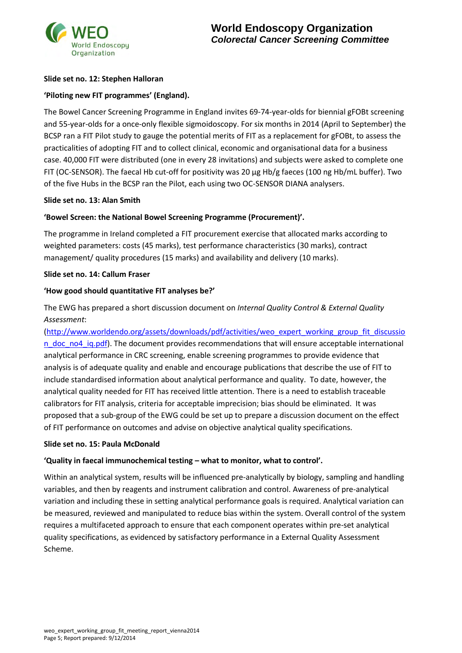

# **Slide set no. 12: Stephen Halloran**

# **'Piloting new FIT programmes' (England).**

The Bowel Cancer Screening Programme in England invites 69-74-year-olds for biennial gFOBt screening and 55-year-olds for a once-only flexible sigmoidoscopy. For six months in 2014 (April to September) the BCSP ran a FIT Pilot study to gauge the potential merits of FIT as a replacement for gFOBt, to assess the practicalities of adopting FIT and to collect clinical, economic and organisational data for a business case. 40,000 FIT were distributed (one in every 28 invitations) and subjects were asked to complete one FIT (OC-SENSOR). The faecal Hb cut-off for positivity was 20 µg Hb/g faeces (100 ng Hb/mL buffer). Two of the five Hubs in the BCSP ran the Pilot, each using two OC-SENSOR DIANA analysers.

# **Slide set no. 13: Alan Smith**

# **'Bowel Screen: the National Bowel Screening Programme (Procurement)'.**

The programme in Ireland completed a FIT procurement exercise that allocated marks according to weighted parameters: costs (45 marks), test performance characteristics (30 marks), contract management/ quality procedures (15 marks) and availability and delivery (10 marks).

# **Slide set no. 14: Callum Fraser**

# **'How good should quantitative FIT analyses be?'**

The EWG has prepared a short discussion document on *Internal Quality Control & External Quality Assessment*:

[\(http://www.worldendo.org/assets/downloads/pdf/activities/weo\\_expert\\_working\\_group\\_fit\\_discussio](http://www.worldendo.org/assets/downloads/pdf/activities/weo_expert_working_group_fit_discussion_doc_no4_iq.pdf) [n\\_doc\\_no4\\_iq.pdf\)](http://www.worldendo.org/assets/downloads/pdf/activities/weo_expert_working_group_fit_discussion_doc_no4_iq.pdf). The document provides recommendations that will ensure acceptable international analytical performance in CRC screening, enable screening programmes to provide evidence that analysis is of adequate quality and enable and encourage publications that describe the use of FIT to include standardised information about analytical performance and quality. To date, however, the analytical quality needed for FIT has received little attention. There is a need to establish traceable calibrators for FIT analysis, criteria for acceptable imprecision; bias should be eliminated. It was proposed that a sub-group of the EWG could be set up to prepare a discussion document on the effect of FIT performance on outcomes and advise on objective analytical quality specifications.

#### **Slide set no. 15: Paula McDonald**

# **'Quality in faecal immunochemical testing – what to monitor, what to control'.**

Within an analytical system, results will be influenced pre-analytically by biology, sampling and handling variables, and then by reagents and instrument calibration and control. Awareness of pre-analytical variation and including these in setting analytical performance goals is required. Analytical variation can be measured, reviewed and manipulated to reduce bias within the system. Overall control of the system requires a multifaceted approach to ensure that each component operates within pre-set analytical quality specifications, as evidenced by satisfactory performance in a External Quality Assessment Scheme.